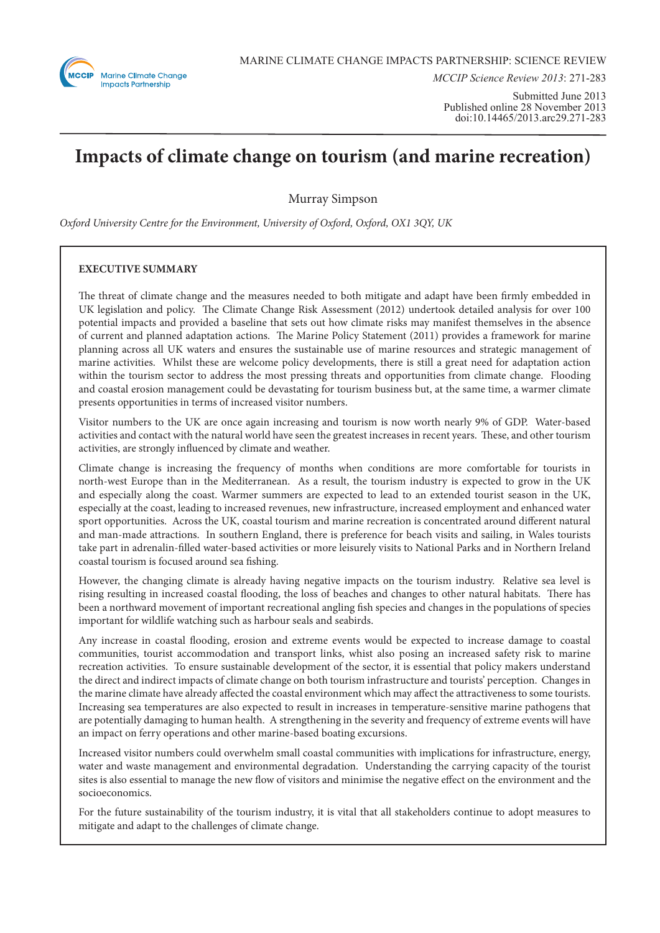

*MCCIP Science Review 2013*: 271-283

Submitted June 2013 Published online 28 November 2013 doi:10.14465/2013.arc29.271-283

# **Impacts of climate change on tourism (and marine recreation)**

Murray Simpson

*Oxford University Centre for the Environment, University of Oxford, Oxford, OX1 3QY, UK*

# **EXECUTIVE SUMMARY**

The threat of climate change and the measures needed to both mitigate and adapt have been firmly embedded in UK legislation and policy. The Climate Change Risk Assessment (2012) undertook detailed analysis for over 100 potential impacts and provided a baseline that sets out how climate risks may manifest themselves in the absence of current and planned adaptation actions. The Marine Policy Statement (2011) provides a framework for marine planning across all UK waters and ensures the sustainable use of marine resources and strategic management of marine activities. Whilst these are welcome policy developments, there is still a great need for adaptation action within the tourism sector to address the most pressing threats and opportunities from climate change. Flooding and coastal erosion management could be devastating for tourism business but, at the same time, a warmer climate presents opportunities in terms of increased visitor numbers.

Visitor numbers to the UK are once again increasing and tourism is now worth nearly 9% of GDP. Water-based activities and contact with the natural world have seen the greatest increases in recent years. These, and other tourism activities, are strongly influenced by climate and weather.

Climate change is increasing the frequency of months when conditions are more comfortable for tourists in north-west Europe than in the Mediterranean. As a result, the tourism industry is expected to grow in the UK and especially along the coast. Warmer summers are expected to lead to an extended tourist season in the UK, especially at the coast, leading to increased revenues, new infrastructure, increased employment and enhanced water sport opportunities. Across the UK, coastal tourism and marine recreation is concentrated around different natural and man-made attractions. In southern England, there is preference for beach visits and sailing, in Wales tourists take part in adrenalin-filled water-based activities or more leisurely visits to National Parks and in Northern Ireland coastal tourism is focused around sea fishing.

However, the changing climate is already having negative impacts on the tourism industry. Relative sea level is rising resulting in increased coastal flooding, the loss of beaches and changes to other natural habitats. There has been a northward movement of important recreational angling fish species and changes in the populations of species important for wildlife watching such as harbour seals and seabirds.

Any increase in coastal flooding, erosion and extreme events would be expected to increase damage to coastal communities, tourist accommodation and transport links, whist also posing an increased safety risk to marine recreation activities. To ensure sustainable development of the sector, it is essential that policy makers understand the direct and indirect impacts of climate change on both tourism infrastructure and tourists' perception. Changes in the marine climate have already affected the coastal environment which may affect the attractiveness to some tourists. Increasing sea temperatures are also expected to result in increases in temperature-sensitive marine pathogens that are potentially damaging to human health. A strengthening in the severity and frequency of extreme events will have an impact on ferry operations and other marine-based boating excursions.

Increased visitor numbers could overwhelm small coastal communities with implications for infrastructure, energy, water and waste management and environmental degradation. Understanding the carrying capacity of the tourist sites is also essential to manage the new flow of visitors and minimise the negative effect on the environment and the socioeconomics.

For the future sustainability of the tourism industry, it is vital that all stakeholders continue to adopt measures to mitigate and adapt to the challenges of climate change.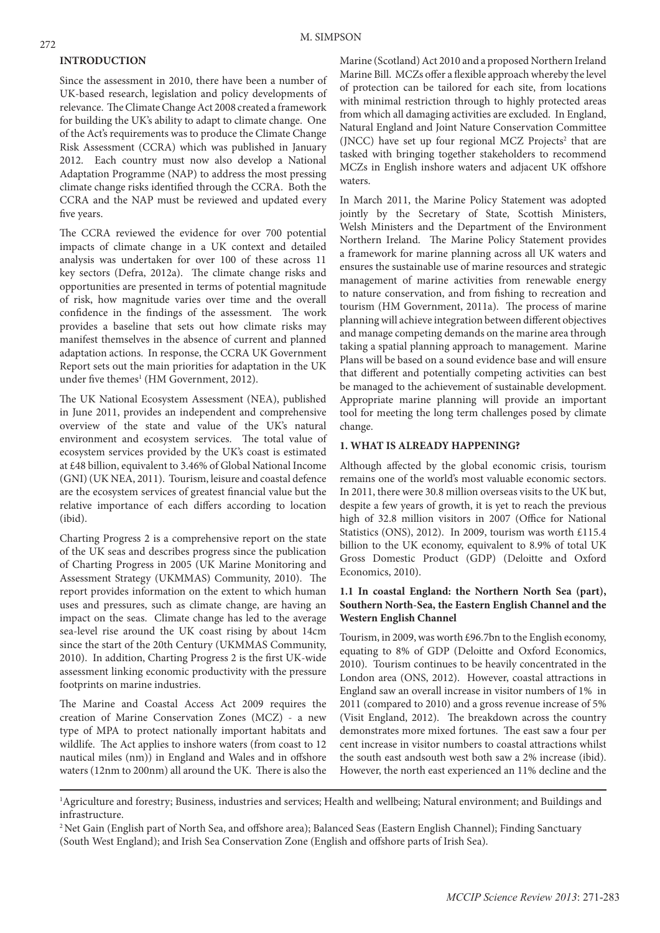## **INTRODUCTION**

Since the assessment in 2010, there have been a number of UK-based research, legislation and policy developments of relevance. The Climate Change Act 2008 created a framework for building the UK's ability to adapt to climate change. One of the Act's requirements was to produce the Climate Change Risk Assessment (CCRA) which was published in January 2012. Each country must now also develop a National Adaptation Programme (NAP) to address the most pressing climate change risks identified through the CCRA. Both the CCRA and the NAP must be reviewed and updated every five years.

The CCRA reviewed the evidence for over 700 potential impacts of climate change in a UK context and detailed analysis was undertaken for over 100 of these across 11 key sectors (Defra, 2012a). The climate change risks and opportunities are presented in terms of potential magnitude of risk, how magnitude varies over time and the overall confidence in the findings of the assessment. The work provides a baseline that sets out how climate risks may manifest themselves in the absence of current and planned adaptation actions. In response, the CCRA UK Government Report sets out the main priorities for adaptation in the UK under five themes<sup>1</sup> (HM Government, 2012).

The UK National Ecosystem Assessment (NEA), published in June 2011, provides an independent and comprehensive overview of the state and value of the UK's natural environment and ecosystem services. The total value of ecosystem services provided by the UK's coast is estimated at £48 billion, equivalent to 3.46% of Global National Income (GNI) (UK NEA, 2011). Tourism, leisure and coastal defence are the ecosystem services of greatest financial value but the relative importance of each differs according to location (ibid).

Charting Progress 2 is a comprehensive report on the state of the UK seas and describes progress since the publication of Charting Progress in 2005 (UK Marine Monitoring and Assessment Strategy (UKMMAS) Community, 2010). The report provides information on the extent to which human uses and pressures, such as climate change, are having an impact on the seas. Climate change has led to the average sea-level rise around the UK coast rising by about 14cm since the start of the 20th Century (UKMMAS Community, 2010). In addition, Charting Progress 2 is the first UK-wide assessment linking economic productivity with the pressure footprints on marine industries.

The Marine and Coastal Access Act 2009 requires the creation of Marine Conservation Zones (MCZ) - a new type of MPA to protect nationally important habitats and wildlife. The Act applies to inshore waters (from coast to 12 nautical miles (nm)) in England and Wales and in offshore waters (12nm to 200nm) all around the UK. There is also the

Marine (Scotland) Act 2010 and a proposed Northern Ireland Marine Bill. MCZs offer a flexible approach whereby the level of protection can be tailored for each site, from locations with minimal restriction through to highly protected areas from which all damaging activities are excluded. In England, Natural England and Joint Nature Conservation Committee (JNCC) have set up four regional MCZ Projects<sup>2</sup> that are tasked with bringing together stakeholders to recommend MCZs in English inshore waters and adjacent UK offshore waters.

In March 2011, the Marine Policy Statement was adopted jointly by the Secretary of State, Scottish Ministers, Welsh Ministers and the Department of the Environment Northern Ireland. The Marine Policy Statement provides a framework for marine planning across all UK waters and ensures the sustainable use of marine resources and strategic management of marine activities from renewable energy to nature conservation, and from fishing to recreation and tourism (HM Government, 2011a). The process of marine planning will achieve integration between different objectives and manage competing demands on the marine area through taking a spatial planning approach to management. Marine Plans will be based on a sound evidence base and will ensure that different and potentially competing activities can best be managed to the achievement of sustainable development. Appropriate marine planning will provide an important tool for meeting the long term challenges posed by climate change.

# **1. WHAT IS ALREADY HAPPENING?**

Although affected by the global economic crisis, tourism remains one of the world's most valuable economic sectors. In 2011, there were 30.8 million overseas visits to the UK but, despite a few years of growth, it is yet to reach the previous high of 32.8 million visitors in 2007 (Office for National Statistics (ONS), 2012). In 2009, tourism was worth £115.4 billion to the UK economy, equivalent to 8.9% of total UK Gross Domestic Product (GDP) (Deloitte and Oxford Economics, 2010).

# **1.1 In coastal England: the Northern North Sea (part), Southern North-Sea, the Eastern English Channel and the Western English Channel**

Tourism, in 2009, was worth £96.7bn to the English economy, equating to 8% of GDP (Deloitte and Oxford Economics, 2010). Tourism continues to be heavily concentrated in the London area (ONS, 2012). However, coastal attractions in England saw an overall increase in visitor numbers of 1% in 2011 (compared to 2010) and a gross revenue increase of 5% (Visit England, 2012). The breakdown across the country demonstrates more mixed fortunes. The east saw a four per cent increase in visitor numbers to coastal attractions whilst the south east andsouth west both saw a 2% increase (ibid). However, the north east experienced an 11% decline and the

<sup>&</sup>lt;sup>1</sup>Agriculture and forestry; Business, industries and services; Health and wellbeing; Natural environment; and Buildings and infrastructure.

<sup>2</sup> Net Gain (English part of North Sea, and offshore area); Balanced Seas (Eastern English Channel); Finding Sanctuary (South West England); and Irish Sea Conservation Zone (English and offshore parts of Irish Sea).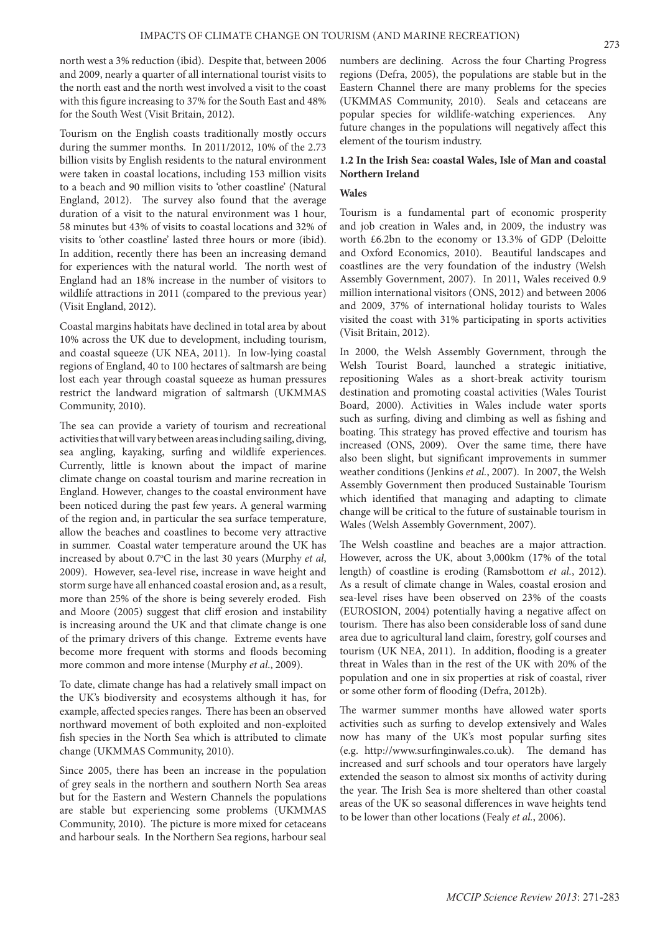north west a 3% reduction (ibid). Despite that, between 2006 and 2009, nearly a quarter of all international tourist visits to the north east and the north west involved a visit to the coast with this figure increasing to 37% for the South East and 48% for the South West (Visit Britain, 2012).

Tourism on the English coasts traditionally mostly occurs during the summer months. In 2011/2012, 10% of the 2.73 billion visits by English residents to the natural environment were taken in coastal locations, including 153 million visits to a beach and 90 million visits to 'other coastline' (Natural England, 2012). The survey also found that the average duration of a visit to the natural environment was 1 hour, 58 minutes but 43% of visits to coastal locations and 32% of visits to 'other coastline' lasted three hours or more (ibid). In addition, recently there has been an increasing demand for experiences with the natural world. The north west of England had an 18% increase in the number of visitors to wildlife attractions in 2011 (compared to the previous year) (Visit England, 2012).

Coastal margins habitats have declined in total area by about 10% across the UK due to development, including tourism, and coastal squeeze (UK NEA, 2011). In low-lying coastal regions of England, 40 to 100 hectares of saltmarsh are being lost each year through coastal squeeze as human pressures restrict the landward migration of saltmarsh (UKMMAS Community, 2010).

The sea can provide a variety of tourism and recreational activities that will vary between areas including sailing, diving, sea angling, kayaking, surfing and wildlife experiences. Currently, little is known about the impact of marine climate change on coastal tourism and marine recreation in England. However, changes to the coastal environment have been noticed during the past few years. A general warming of the region and, in particular the sea surface temperature, allow the beaches and coastlines to become very attractive in summer. Coastal water temperature around the UK has increased by about 0.7°C in the last 30 years (Murphy *et al*, 2009). However, sea-level rise, increase in wave height and storm surge have all enhanced coastal erosion and, as a result, more than 25% of the shore is being severely eroded. Fish and Moore (2005) suggest that cliff erosion and instability is increasing around the UK and that climate change is one of the primary drivers of this change. Extreme events have become more frequent with storms and floods becoming more common and more intense (Murphy *et al*., 2009).

To date, climate change has had a relatively small impact on the UK's biodiversity and ecosystems although it has, for example, affected species ranges. There has been an observed northward movement of both exploited and non-exploited fish species in the North Sea which is attributed to climate change (UKMMAS Community, 2010).

Since 2005, there has been an increase in the population of grey seals in the northern and southern North Sea areas but for the Eastern and Western Channels the populations are stable but experiencing some problems (UKMMAS Community, 2010). The picture is more mixed for cetaceans and harbour seals. In the Northern Sea regions, harbour seal

numbers are declining. Across the four Charting Progress regions (Defra, 2005), the populations are stable but in the Eastern Channel there are many problems for the species (UKMMAS Community, 2010). Seals and cetaceans are popular species for wildlife-watching experiences. Any future changes in the populations will negatively affect this element of the tourism industry.

# **1.2 In the Irish Sea: coastal Wales, Isle of Man and coastal Northern Ireland**

# **Wales**

Tourism is a fundamental part of economic prosperity and job creation in Wales and, in 2009, the industry was worth £6.2bn to the economy or 13.3% of GDP (Deloitte and Oxford Economics, 2010). Beautiful landscapes and coastlines are the very foundation of the industry (Welsh Assembly Government, 2007). In 2011, Wales received 0.9 million international visitors (ONS, 2012) and between 2006 and 2009, 37% of international holiday tourists to Wales visited the coast with 31% participating in sports activities (Visit Britain, 2012).

In 2000, the Welsh Assembly Government, through the Welsh Tourist Board, launched a strategic initiative, repositioning Wales as a short-break activity tourism destination and promoting coastal activities (Wales Tourist Board, 2000). Activities in Wales include water sports such as surfing, diving and climbing as well as fishing and boating. This strategy has proved effective and tourism has increased (ONS, 2009). Over the same time, there have also been slight, but significant improvements in summer weather conditions (Jenkins *et al.*, 2007). In 2007, the Welsh Assembly Government then produced Sustainable Tourism which identified that managing and adapting to climate change will be critical to the future of sustainable tourism in Wales (Welsh Assembly Government, 2007).

The Welsh coastline and beaches are a major attraction. However, across the UK, about 3,000km (17% of the total length) of coastline is eroding (Ramsbottom *et al.*, 2012). As a result of climate change in Wales, coastal erosion and sea-level rises have been observed on 23% of the coasts (EUROSION, 2004) potentially having a negative affect on tourism. There has also been considerable loss of sand dune area due to agricultural land claim, forestry, golf courses and tourism (UK NEA, 2011). In addition, flooding is a greater threat in Wales than in the rest of the UK with 20% of the population and one in six properties at risk of coastal, river or some other form of flooding (Defra, 2012b).

The warmer summer months have allowed water sports activities such as surfing to develop extensively and Wales now has many of the UK's most popular surfing sites (e.g. http://www.surfinginwales.co.uk). The demand has increased and surf schools and tour operators have largely extended the season to almost six months of activity during the year. The Irish Sea is more sheltered than other coastal areas of the UK so seasonal differences in wave heights tend to be lower than other locations (Fealy *et al.*, 2006).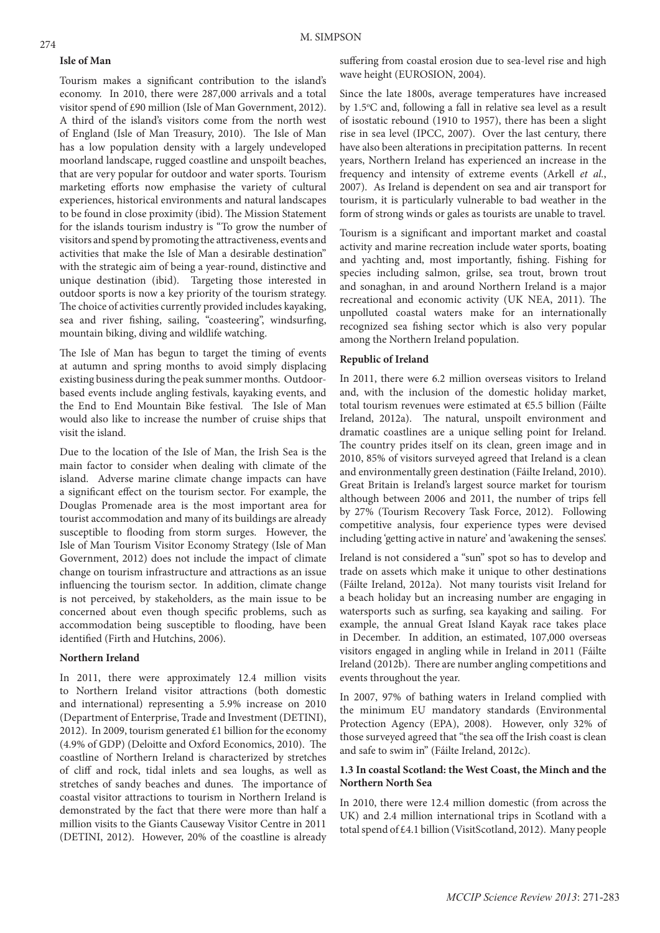### **Isle of Man**

Tourism makes a significant contribution to the island's economy. In 2010, there were 287,000 arrivals and a total visitor spend of £90 million (Isle of Man Government, 2012). A third of the island's visitors come from the north west of England (Isle of Man Treasury, 2010). The Isle of Man has a low population density with a largely undeveloped moorland landscape, rugged coastline and unspoilt beaches, that are very popular for outdoor and water sports. Tourism marketing efforts now emphasise the variety of cultural experiences, historical environments and natural landscapes to be found in close proximity (ibid). The Mission Statement for the islands tourism industry is "To grow the number of visitors and spend by promoting the attractiveness, events and activities that make the Isle of Man a desirable destination" with the strategic aim of being a year-round, distinctive and unique destination (ibid). Targeting those interested in outdoor sports is now a key priority of the tourism strategy. The choice of activities currently provided includes kayaking, sea and river fishing, sailing, "coasteering", windsurfing, mountain biking, diving and wildlife watching.

The Isle of Man has begun to target the timing of events at autumn and spring months to avoid simply displacing existing business during the peak summer months. Outdoorbased events include angling festivals, kayaking events, and the End to End Mountain Bike festival. The Isle of Man would also like to increase the number of cruise ships that visit the island.

Due to the location of the Isle of Man, the Irish Sea is the main factor to consider when dealing with climate of the island. Adverse marine climate change impacts can have a significant effect on the tourism sector. For example, the Douglas Promenade area is the most important area for tourist accommodation and many of its buildings are already susceptible to flooding from storm surges. However, the Isle of Man Tourism Visitor Economy Strategy (Isle of Man Government, 2012) does not include the impact of climate change on tourism infrastructure and attractions as an issue influencing the tourism sector. In addition, climate change is not perceived, by stakeholders, as the main issue to be concerned about even though specific problems, such as accommodation being susceptible to flooding, have been identified (Firth and Hutchins, 2006).

#### **Northern Ireland**

In 2011, there were approximately 12.4 million visits to Northern Ireland visitor attractions (both domestic and international) representing a 5.9% increase on 2010 (Department of Enterprise, Trade and Investment (DETINI), 2012). In 2009, tourism generated  $£1$  billion for the economy (4.9% of GDP) (Deloitte and Oxford Economics, 2010). The coastline of Northern Ireland is characterized by stretches of cliff and rock, tidal inlets and sea loughs, as well as stretches of sandy beaches and dunes. The importance of coastal visitor attractions to tourism in Northern Ireland is demonstrated by the fact that there were more than half a million visits to the Giants Causeway Visitor Centre in 2011 (DETINI, 2012). However, 20% of the coastline is already

suffering from coastal erosion due to sea-level rise and high wave height (EUROSION, 2004).

Since the late 1800s, average temperatures have increased by 1.5°C and, following a fall in relative sea level as a result of isostatic rebound (1910 to 1957), there has been a slight rise in sea level (IPCC, 2007). Over the last century, there have also been alterations in precipitation patterns. In recent years, Northern Ireland has experienced an increase in the frequency and intensity of extreme events (Arkell *et al.*, 2007). As Ireland is dependent on sea and air transport for tourism, it is particularly vulnerable to bad weather in the form of strong winds or gales as tourists are unable to travel.

Tourism is a significant and important market and coastal activity and marine recreation include water sports, boating and yachting and, most importantly, fishing. Fishing for species including salmon, grilse, sea trout, brown trout and sonaghan, in and around Northern Ireland is a major recreational and economic activity (UK NEA, 2011). The unpolluted coastal waters make for an internationally recognized sea fishing sector which is also very popular among the Northern Ireland population.

## **Republic of Ireland**

In 2011, there were 6.2 million overseas visitors to Ireland and, with the inclusion of the domestic holiday market, total tourism revenues were estimated at €5.5 billion (Fáilte Ireland, 2012a). The natural, unspoilt environment and dramatic coastlines are a unique selling point for Ireland. The country prides itself on its clean, green image and in 2010, 85% of visitors surveyed agreed that Ireland is a clean and environmentally green destination (Fáilte Ireland, 2010). Great Britain is Ireland's largest source market for tourism although between 2006 and 2011, the number of trips fell by 27% (Tourism Recovery Task Force, 2012). Following competitive analysis, four experience types were devised including 'getting active in nature' and 'awakening the senses'.

Ireland is not considered a "sun" spot so has to develop and trade on assets which make it unique to other destinations (Fáilte Ireland, 2012a). Not many tourists visit Ireland for a beach holiday but an increasing number are engaging in watersports such as surfing, sea kayaking and sailing. For example, the annual Great Island Kayak race takes place in December. In addition, an estimated, 107,000 overseas visitors engaged in angling while in Ireland in 2011 (Fáilte Ireland (2012b). There are number angling competitions and events throughout the year.

In 2007, 97% of bathing waters in Ireland complied with the minimum EU mandatory standards (Environmental Protection Agency (EPA), 2008). However, only 32% of those surveyed agreed that "the sea off the Irish coast is clean and safe to swim in" (Fáilte Ireland, 2012c).

# **1.3 In coastal Scotland: the West Coast, the Minch and the Northern North Sea**

In 2010, there were 12.4 million domestic (from across the UK) and 2.4 million international trips in Scotland with a total spend of £4.1 billion (VisitScotland, 2012). Many people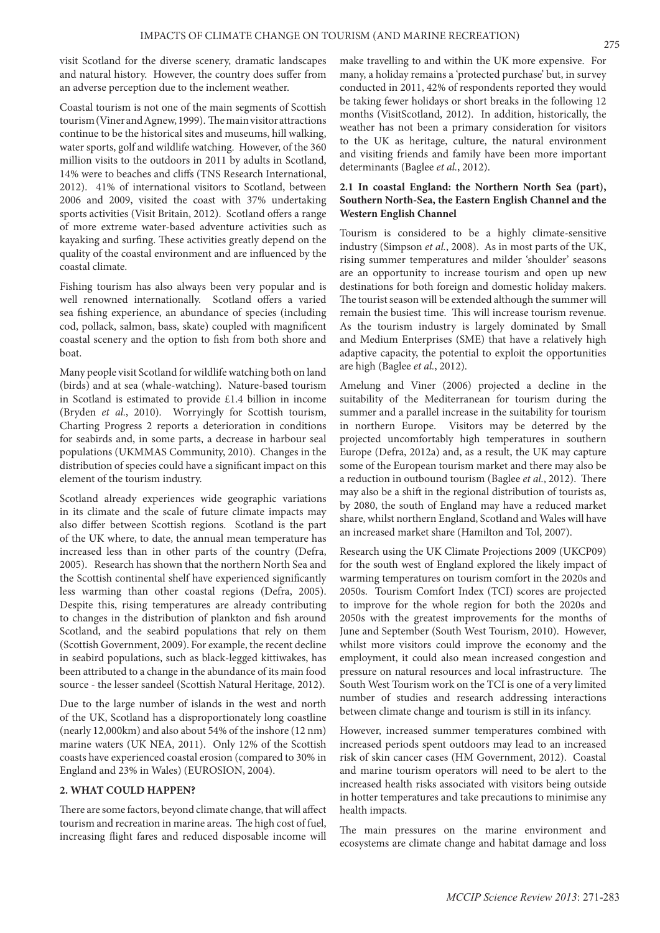visit Scotland for the diverse scenery, dramatic landscapes and natural history. However, the country does suffer from an adverse perception due to the inclement weather.

Coastal tourism is not one of the main segments of Scottish tourism (Viner and Agnew, 1999). The main visitor attractions continue to be the historical sites and museums, hill walking, water sports, golf and wildlife watching. However, of the 360 million visits to the outdoors in 2011 by adults in Scotland, 14% were to beaches and cliffs (TNS Research International, 2012). 41% of international visitors to Scotland, between 2006 and 2009, visited the coast with 37% undertaking sports activities (Visit Britain, 2012). Scotland offers a range of more extreme water-based adventure activities such as kayaking and surfing. These activities greatly depend on the quality of the coastal environment and are influenced by the coastal climate.

Fishing tourism has also always been very popular and is well renowned internationally. Scotland offers a varied sea fishing experience, an abundance of species (including cod, pollack, salmon, bass, skate) coupled with magnificent coastal scenery and the option to fish from both shore and boat.

Many people visit Scotland for wildlife watching both on land (birds) and at sea (whale-watching). Nature-based tourism in Scotland is estimated to provide £1.4 billion in income (Bryden *et al.*, 2010). Worryingly for Scottish tourism, Charting Progress 2 reports a deterioration in conditions for seabirds and, in some parts, a decrease in harbour seal populations (UKMMAS Community, 2010). Changes in the distribution of species could have a significant impact on this element of the tourism industry.

Scotland already experiences wide geographic variations in its climate and the scale of future climate impacts may also differ between Scottish regions. Scotland is the part of the UK where, to date, the annual mean temperature has increased less than in other parts of the country (Defra, 2005). Research has shown that the northern North Sea and the Scottish continental shelf have experienced significantly less warming than other coastal regions (Defra, 2005). Despite this, rising temperatures are already contributing to changes in the distribution of plankton and fish around Scotland, and the seabird populations that rely on them (Scottish Government, 2009). For example, the recent decline in seabird populations, such as black-legged kittiwakes, has been attributed to a change in the abundance of its main food source - the lesser sandeel (Scottish Natural Heritage, 2012).

Due to the large number of islands in the west and north of the UK, Scotland has a disproportionately long coastline (nearly 12,000km) and also about 54% of the inshore (12 nm) marine waters (UK NEA, 2011). Only 12% of the Scottish coasts have experienced coastal erosion (compared to 30% in England and 23% in Wales) (EUROSION, 2004).

## **2. WHAT COULD HAPPEN?**

There are some factors, beyond climate change, that will affect tourism and recreation in marine areas. The high cost of fuel, increasing flight fares and reduced disposable income will

make travelling to and within the UK more expensive. For many, a holiday remains a 'protected purchase' but, in survey conducted in 2011, 42% of respondents reported they would be taking fewer holidays or short breaks in the following 12 months (VisitScotland, 2012). In addition, historically, the weather has not been a primary consideration for visitors to the UK as heritage, culture, the natural environment and visiting friends and family have been more important determinants (Baglee *et al.*, 2012).

# **2.1 In coastal England: the Northern North Sea (part), Southern North-Sea, the Eastern English Channel and the Western English Channel**

Tourism is considered to be a highly climate-sensitive industry (Simpson *et al.*, 2008). As in most parts of the UK, rising summer temperatures and milder 'shoulder' seasons are an opportunity to increase tourism and open up new destinations for both foreign and domestic holiday makers. The tourist season will be extended although the summer will remain the busiest time. This will increase tourism revenue. As the tourism industry is largely dominated by Small and Medium Enterprises (SME) that have a relatively high adaptive capacity, the potential to exploit the opportunities are high (Baglee *et al.*, 2012).

Amelung and Viner (2006) projected a decline in the suitability of the Mediterranean for tourism during the summer and a parallel increase in the suitability for tourism in northern Europe. Visitors may be deterred by the projected uncomfortably high temperatures in southern Europe (Defra, 2012a) and, as a result, the UK may capture some of the European tourism market and there may also be a reduction in outbound tourism (Baglee *et al.*, 2012). There may also be a shift in the regional distribution of tourists as, by 2080, the south of England may have a reduced market share, whilst northern England, Scotland and Wales will have an increased market share (Hamilton and Tol, 2007).

Research using the UK Climate Projections 2009 (UKCP09) for the south west of England explored the likely impact of warming temperatures on tourism comfort in the 2020s and 2050s. Tourism Comfort Index (TCI) scores are projected to improve for the whole region for both the 2020s and 2050s with the greatest improvements for the months of June and September (South West Tourism, 2010). However, whilst more visitors could improve the economy and the employment, it could also mean increased congestion and pressure on natural resources and local infrastructure. The South West Tourism work on the TCI is one of a very limited number of studies and research addressing interactions between climate change and tourism is still in its infancy.

However, increased summer temperatures combined with increased periods spent outdoors may lead to an increased risk of skin cancer cases (HM Government, 2012). Coastal and marine tourism operators will need to be alert to the increased health risks associated with visitors being outside in hotter temperatures and take precautions to minimise any health impacts.

The main pressures on the marine environment and ecosystems are climate change and habitat damage and loss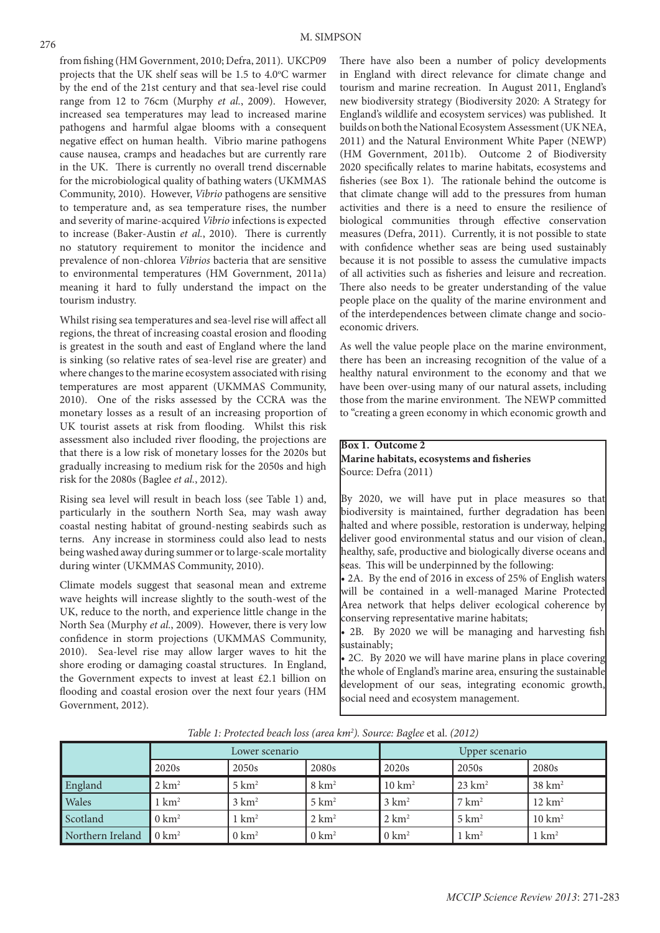from fishing (HM Government, 2010; Defra, 2011). UKCP09 projects that the UK shelf seas will be 1.5 to 4.0°C warmer by the end of the 21st century and that sea-level rise could range from 12 to 76cm (Murphy *et al.*, 2009). However, increased sea temperatures may lead to increased marine pathogens and harmful algae blooms with a consequent negative effect on human health. Vibrio marine pathogens cause nausea, cramps and headaches but are currently rare in the UK. There is currently no overall trend discernable for the microbiological quality of bathing waters (UKMMAS Community, 2010). However, *Vibrio* pathogens are sensitive to temperature and, as sea temperature rises, the number and severity of marine-acquired *Vibrio* infections is expected to increase (Baker-Austin *et al.*, 2010). There is currently no statutory requirement to monitor the incidence and prevalence of non-chlorea *Vibrios* bacteria that are sensitive to environmental temperatures (HM Government, 2011a) meaning it hard to fully understand the impact on the tourism industry.

Whilst rising sea temperatures and sea-level rise will affect all regions, the threat of increasing coastal erosion and flooding is greatest in the south and east of England where the land is sinking (so relative rates of sea-level rise are greater) and where changes to the marine ecosystem associated with rising temperatures are most apparent (UKMMAS Community, 2010). One of the risks assessed by the CCRA was the monetary losses as a result of an increasing proportion of UK tourist assets at risk from flooding. Whilst this risk assessment also included river flooding, the projections are that there is a low risk of monetary losses for the 2020s but gradually increasing to medium risk for the 2050s and high risk for the 2080s (Baglee *et al.*, 2012).

Rising sea level will result in beach loss (see Table 1) and, particularly in the southern North Sea, may wash away coastal nesting habitat of ground-nesting seabirds such as terns. Any increase in storminess could also lead to nests being washed away during summer or to large-scale mortality during winter (UKMMAS Community, 2010).

Climate models suggest that seasonal mean and extreme wave heights will increase slightly to the south-west of the UK, reduce to the north, and experience little change in the North Sea (Murphy *et al.*, 2009). However, there is very low confidence in storm projections (UKMMAS Community, 2010). Sea-level rise may allow larger waves to hit the shore eroding or damaging coastal structures. In England, the Government expects to invest at least £2.1 billion on flooding and coastal erosion over the next four years (HM Government, 2012).

There have also been a number of policy developments in England with direct relevance for climate change and tourism and marine recreation. In August 2011, England's new biodiversity strategy (Biodiversity 2020: A Strategy for England's wildlife and ecosystem services) was published. It builds on both the National Ecosystem Assessment (UK NEA, 2011) and the Natural Environment White Paper (NEWP) (HM Government, 2011b). Outcome 2 of Biodiversity 2020 specifically relates to marine habitats, ecosystems and fisheries (see Box 1). The rationale behind the outcome is that climate change will add to the pressures from human activities and there is a need to ensure the resilience of biological communities through effective conservation measures (Defra, 2011). Currently, it is not possible to state with confidence whether seas are being used sustainably because it is not possible to assess the cumulative impacts of all activities such as fisheries and leisure and recreation. There also needs to be greater understanding of the value people place on the quality of the marine environment and of the interdependences between climate change and socioeconomic drivers.

As well the value people place on the marine environment, there has been an increasing recognition of the value of a healthy natural environment to the economy and that we have been over-using many of our natural assets, including those from the marine environment. The NEWP committed to "creating a green economy in which economic growth and

# **Box 1. Outcome 2 Marine habitats, ecosystems and fisheries** Source: Defra (2011)

By 2020, we will have put in place measures so that biodiversity is maintained, further degradation has been halted and where possible, restoration is underway, helping deliver good environmental status and our vision of clean, healthy, safe, productive and biologically diverse oceans and seas. This will be underpinned by the following:

• 2A. By the end of 2016 in excess of 25% of English waters will be contained in a well-managed Marine Protected Area network that helps deliver ecological coherence by conserving representative marine habitats;

• 2B. By 2020 we will be managing and harvesting fish sustainably;

• 2C. By 2020 we will have marine plans in place covering the whole of England's marine area, ensuring the sustainable development of our seas, integrating economic growth, social need and ecosystem management.

|                  | Lower scenario   |                  |                  | <b>Upper scenario</b> |                   |                   |
|------------------|------------------|------------------|------------------|-----------------------|-------------------|-------------------|
|                  | 2020s            | 2050s            | 2080s            | 2020 <sub>s</sub>     | 2050s             | 2080s             |
| England          | $2 \text{ km}^2$ | $5 \text{ km}^2$ | $8 \text{ km}^2$ | $10 \text{ km}^2$     | $23 \text{ km}^2$ | $38 \text{ km}^2$ |
| Wales            | $1 \text{ km}^2$ | $3 \text{ km}^2$ | $5 \text{ km}^2$ | $3 \text{ km}^2$      | $7 \text{ km}^2$  | $12 \text{ km}^2$ |
| Scotland         | $0 \text{ km}^2$ | $1 \text{ km}^2$ | $2 \text{ km}^2$ | $2 \text{ km}^2$      | $5 \text{ km}^2$  | $10 \text{ km}^2$ |
| Northern Ireland | $\log m^2$       | $0 \text{ km}^2$ | $0 \text{ km}^2$ | $0 \text{ km}^2$      | $1 \text{ km}^2$  | $1 \text{ km}^2$  |

*Table 1: Protected beach loss (area km2 ). Source: Baglee* et al. *(2012)*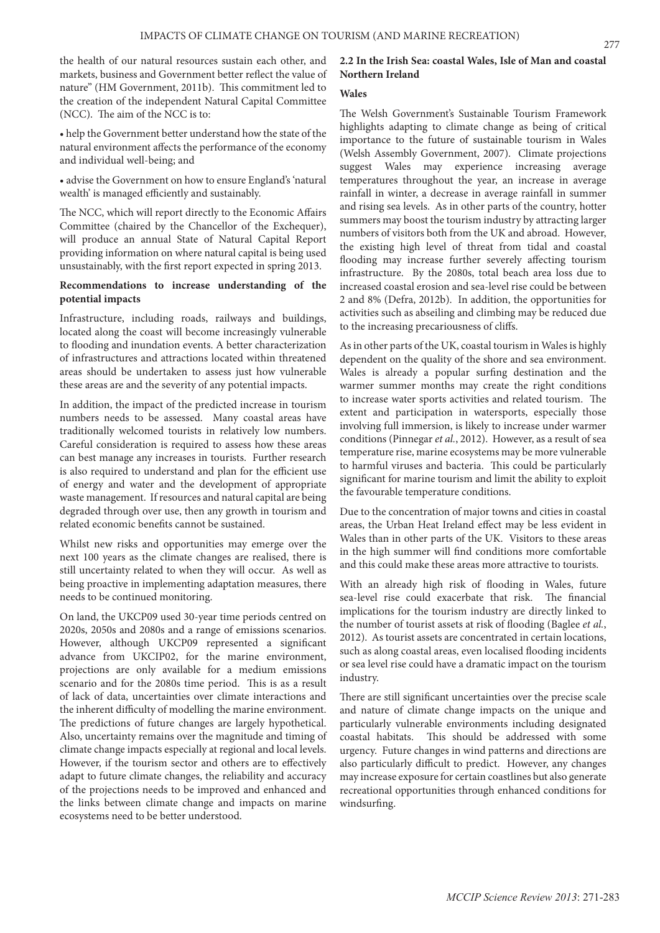the health of our natural resources sustain each other, and markets, business and Government better reflect the value of nature" (HM Government, 2011b). This commitment led to the creation of the independent Natural Capital Committee (NCC). The aim of the NCC is to:

• help the Government better understand how the state of the natural environment affects the performance of the economy and individual well-being; and

• advise the Government on how to ensure England's 'natural wealth' is managed efficiently and sustainably.

The NCC, which will report directly to the Economic Affairs Committee (chaired by the Chancellor of the Exchequer), will produce an annual State of Natural Capital Report providing information on where natural capital is being used unsustainably, with the first report expected in spring 2013.

# **Recommendations to increase understanding of the potential impacts**

Infrastructure, including roads, railways and buildings, located along the coast will become increasingly vulnerable to flooding and inundation events. A better characterization of infrastructures and attractions located within threatened areas should be undertaken to assess just how vulnerable these areas are and the severity of any potential impacts.

In addition, the impact of the predicted increase in tourism numbers needs to be assessed. Many coastal areas have traditionally welcomed tourists in relatively low numbers. Careful consideration is required to assess how these areas can best manage any increases in tourists. Further research is also required to understand and plan for the efficient use of energy and water and the development of appropriate waste management. If resources and natural capital are being degraded through over use, then any growth in tourism and related economic benefits cannot be sustained.

Whilst new risks and opportunities may emerge over the next 100 years as the climate changes are realised, there is still uncertainty related to when they will occur. As well as being proactive in implementing adaptation measures, there needs to be continued monitoring.

On land, the UKCP09 used 30-year time periods centred on 2020s, 2050s and 2080s and a range of emissions scenarios. However, although UKCP09 represented a significant advance from UKCIP02, for the marine environment, projections are only available for a medium emissions scenario and for the 2080s time period. This is as a result of lack of data, uncertainties over climate interactions and the inherent difficulty of modelling the marine environment. The predictions of future changes are largely hypothetical. Also, uncertainty remains over the magnitude and timing of climate change impacts especially at regional and local levels. However, if the tourism sector and others are to effectively adapt to future climate changes, the reliability and accuracy of the projections needs to be improved and enhanced and the links between climate change and impacts on marine ecosystems need to be better understood.

# **2.2 In the Irish Sea: coastal Wales, Isle of Man and coastal Northern Ireland**

# **Wales**

The Welsh Government's Sustainable Tourism Framework highlights adapting to climate change as being of critical importance to the future of sustainable tourism in Wales (Welsh Assembly Government, 2007). Climate projections suggest Wales may experience increasing average temperatures throughout the year, an increase in average rainfall in winter, a decrease in average rainfall in summer and rising sea levels. As in other parts of the country, hotter summers may boost the tourism industry by attracting larger numbers of visitors both from the UK and abroad. However, the existing high level of threat from tidal and coastal flooding may increase further severely affecting tourism infrastructure. By the 2080s, total beach area loss due to increased coastal erosion and sea-level rise could be between 2 and 8% (Defra, 2012b). In addition, the opportunities for activities such as abseiling and climbing may be reduced due to the increasing precariousness of cliffs.

As in other parts of the UK, coastal tourism in Wales is highly dependent on the quality of the shore and sea environment. Wales is already a popular surfing destination and the warmer summer months may create the right conditions to increase water sports activities and related tourism. The extent and participation in watersports, especially those involving full immersion, is likely to increase under warmer conditions (Pinnegar *et al.*, 2012). However, as a result of sea temperature rise, marine ecosystems may be more vulnerable to harmful viruses and bacteria. This could be particularly significant for marine tourism and limit the ability to exploit the favourable temperature conditions.

Due to the concentration of major towns and cities in coastal areas, the Urban Heat Ireland effect may be less evident in Wales than in other parts of the UK. Visitors to these areas in the high summer will find conditions more comfortable and this could make these areas more attractive to tourists.

With an already high risk of flooding in Wales, future sea-level rise could exacerbate that risk. The financial implications for the tourism industry are directly linked to the number of tourist assets at risk of flooding (Baglee *et al.*, 2012). As tourist assets are concentrated in certain locations, such as along coastal areas, even localised flooding incidents or sea level rise could have a dramatic impact on the tourism industry.

There are still significant uncertainties over the precise scale and nature of climate change impacts on the unique and particularly vulnerable environments including designated coastal habitats. This should be addressed with some urgency. Future changes in wind patterns and directions are also particularly difficult to predict. However, any changes may increase exposure for certain coastlines but also generate recreational opportunities through enhanced conditions for windsurfing.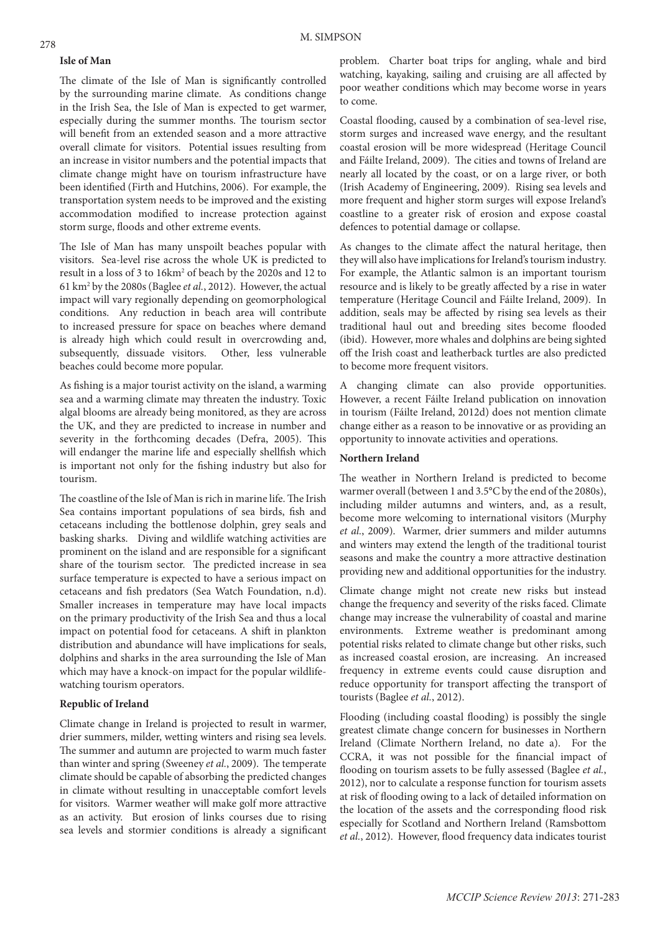#### **Isle of Man**

The climate of the Isle of Man is significantly controlled by the surrounding marine climate. As conditions change in the Irish Sea, the Isle of Man is expected to get warmer, especially during the summer months. The tourism sector will benefit from an extended season and a more attractive overall climate for visitors. Potential issues resulting from an increase in visitor numbers and the potential impacts that climate change might have on tourism infrastructure have been identified (Firth and Hutchins, 2006). For example, the transportation system needs to be improved and the existing accommodation modified to increase protection against storm surge, floods and other extreme events.

The Isle of Man has many unspoilt beaches popular with visitors. Sea-level rise across the whole UK is predicted to result in a loss of 3 to 16km<sup>2</sup> of beach by the 2020s and 12 to 61 km2 by the 2080s (Baglee *et al.*, 2012). However, the actual impact will vary regionally depending on geomorphological conditions. Any reduction in beach area will contribute to increased pressure for space on beaches where demand is already high which could result in overcrowding and, subsequently, dissuade visitors. Other, less vulnerable beaches could become more popular.

As fishing is a major tourist activity on the island, a warming sea and a warming climate may threaten the industry. Toxic algal blooms are already being monitored, as they are across the UK, and they are predicted to increase in number and severity in the forthcoming decades (Defra, 2005). This will endanger the marine life and especially shellfish which is important not only for the fishing industry but also for tourism.

The coastline of the Isle of Man is rich in marine life. The Irish Sea contains important populations of sea birds, fish and cetaceans including the bottlenose dolphin, grey seals and basking sharks. Diving and wildlife watching activities are prominent on the island and are responsible for a significant share of the tourism sector. The predicted increase in sea surface temperature is expected to have a serious impact on cetaceans and fish predators (Sea Watch Foundation, n.d). Smaller increases in temperature may have local impacts on the primary productivity of the Irish Sea and thus a local impact on potential food for cetaceans. A shift in plankton distribution and abundance will have implications for seals, dolphins and sharks in the area surrounding the Isle of Man which may have a knock-on impact for the popular wildlifewatching tourism operators.

### **Republic of Ireland**

Climate change in Ireland is projected to result in warmer, drier summers, milder, wetting winters and rising sea levels. The summer and autumn are projected to warm much faster than winter and spring (Sweeney *et al.*, 2009). The temperate climate should be capable of absorbing the predicted changes in climate without resulting in unacceptable comfort levels for visitors. Warmer weather will make golf more attractive as an activity. But erosion of links courses due to rising sea levels and stormier conditions is already a significant problem. Charter boat trips for angling, whale and bird watching, kayaking, sailing and cruising are all affected by poor weather conditions which may become worse in years to come.

Coastal flooding, caused by a combination of sea-level rise, storm surges and increased wave energy, and the resultant coastal erosion will be more widespread (Heritage Council and Fáilte Ireland, 2009). The cities and towns of Ireland are nearly all located by the coast, or on a large river, or both (Irish Academy of Engineering, 2009). Rising sea levels and more frequent and higher storm surges will expose Ireland's coastline to a greater risk of erosion and expose coastal defences to potential damage or collapse.

As changes to the climate affect the natural heritage, then they will also have implications for Ireland's tourism industry. For example, the Atlantic salmon is an important tourism resource and is likely to be greatly affected by a rise in water temperature (Heritage Council and Fáilte Ireland, 2009). In addition, seals may be affected by rising sea levels as their traditional haul out and breeding sites become flooded (ibid). However, more whales and dolphins are being sighted off the Irish coast and leatherback turtles are also predicted to become more frequent visitors.

A changing climate can also provide opportunities. However, a recent Fáilte Ireland publication on innovation in tourism (Fáilte Ireland, 2012d) does not mention climate change either as a reason to be innovative or as providing an opportunity to innovate activities and operations.

# **Northern Ireland**

The weather in Northern Ireland is predicted to become warmer overall (between 1 and 3.5°C by the end of the 2080s), including milder autumns and winters, and, as a result, become more welcoming to international visitors (Murphy *et al.*, 2009). Warmer, drier summers and milder autumns and winters may extend the length of the traditional tourist seasons and make the country a more attractive destination providing new and additional opportunities for the industry.

Climate change might not create new risks but instead change the frequency and severity of the risks faced. Climate change may increase the vulnerability of coastal and marine environments. Extreme weather is predominant among potential risks related to climate change but other risks, such as increased coastal erosion, are increasing. An increased frequency in extreme events could cause disruption and reduce opportunity for transport affecting the transport of tourists (Baglee *et al.*, 2012).

Flooding (including coastal flooding) is possibly the single greatest climate change concern for businesses in Northern Ireland (Climate Northern Ireland, no date a). For the CCRA, it was not possible for the financial impact of flooding on tourism assets to be fully assessed (Baglee *et al.*, 2012), nor to calculate a response function for tourism assets at risk of flooding owing to a lack of detailed information on the location of the assets and the corresponding flood risk especially for Scotland and Northern Ireland (Ramsbottom *et al.*, 2012). However, flood frequency data indicates tourist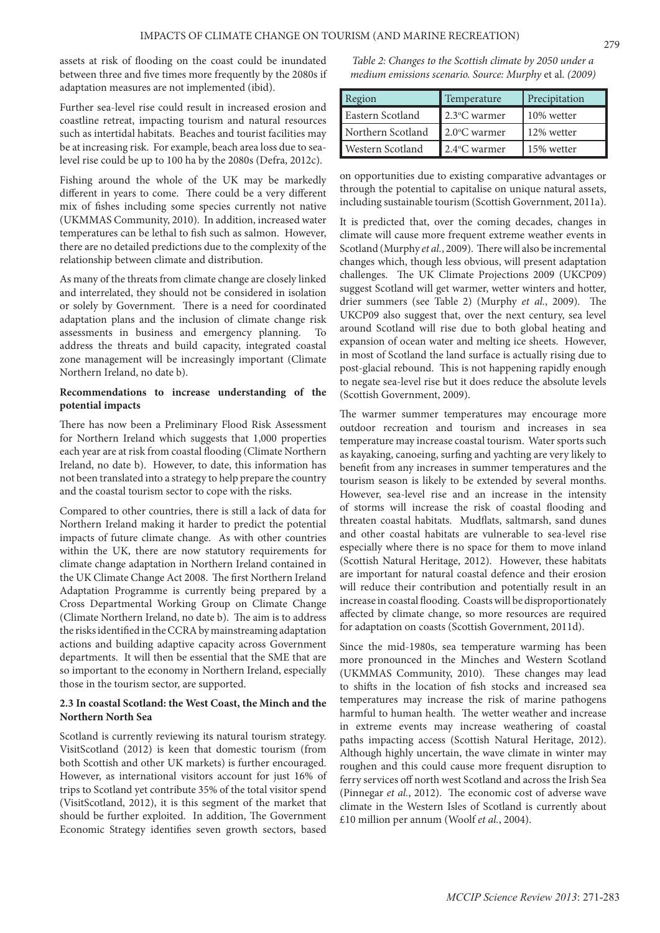assets at risk of flooding on the coast could be inundated between three and five times more frequently by the 2080s if adaptation measures are not implemented (ibid).

Further sea-level rise could result in increased erosion and coastline retreat, impacting tourism and natural resources such as intertidal habitats. Beaches and tourist facilities may be at increasing risk. For example, beach area loss due to sealevel rise could be up to 100 ha by the 2080s (Defra, 2012c).

Fishing around the whole of the UK may be markedly different in years to come. There could be a very different mix of fishes including some species currently not native (UKMMAS Community, 2010). In addition, increased water temperatures can be lethal to fish such as salmon. However, there are no detailed predictions due to the complexity of the relationship between climate and distribution.

As many of the threats from climate change are closely linked and interrelated, they should not be considered in isolation or solely by Government. There is a need for coordinated adaptation plans and the inclusion of climate change risk assessments in business and emergency planning. address the threats and build capacity, integrated coastal zone management will be increasingly important (Climate Northern Ireland, no date b).

# **Recommendations to increase understanding of the potential impacts**

There has now been a Preliminary Flood Risk Assessment for Northern Ireland which suggests that 1,000 properties each year are at risk from coastal flooding (Climate Northern Ireland, no date b). However, to date, this information has not been translated into a strategy to help prepare the country and the coastal tourism sector to cope with the risks.

Compared to other countries, there is still a lack of data for Northern Ireland making it harder to predict the potential impacts of future climate change. As with other countries within the UK, there are now statutory requirements for climate change adaptation in Northern Ireland contained in the UK Climate Change Act 2008. The first Northern Ireland Adaptation Programme is currently being prepared by a Cross Departmental Working Group on Climate Change (Climate Northern Ireland, no date b). The aim is to address the risks identified in the CCRA by mainstreaming adaptation actions and building adaptive capacity across Government departments. It will then be essential that the SME that are so important to the economy in Northern Ireland, especially those in the tourism sector, are supported.

## **2.3 In coastal Scotland: the West Coast, the Minch and the Northern North Sea**

Scotland is currently reviewing its natural tourism strategy. VisitScotland (2012) is keen that domestic tourism (from both Scottish and other UK markets) is further encouraged. However, as international visitors account for just 16% of trips to Scotland yet contribute 35% of the total visitor spend (VisitScotland, 2012), it is this segment of the market that should be further exploited. In addition, The Government Economic Strategy identifies seven growth sectors, based

*Table 2: Changes to the Scottish climate by 2050 under a medium emissions scenario. Source: Murphy* et al. *(2009)*

| Region                  | Temperature                 | Precipitation |
|-------------------------|-----------------------------|---------------|
| <b>Eastern Scotland</b> | 2.3°C warmer                | 10% wetter    |
| Northern Scotland       | 2.0°C warmer                | 12% wetter    |
| Western Scotland        | $2.4$ <sup>o</sup> C warmer | 15% wetter    |

on opportunities due to existing comparative advantages or through the potential to capitalise on unique natural assets, including sustainable tourism (Scottish Government, 2011a).

It is predicted that, over the coming decades, changes in climate will cause more frequent extreme weather events in Scotland (Murphy *et al.*, 2009). There will also be incremental changes which, though less obvious, will present adaptation challenges. The UK Climate Projections 2009 (UKCP09) suggest Scotland will get warmer, wetter winters and hotter, drier summers (see Table 2) (Murphy *et al.*, 2009). The UKCP09 also suggest that, over the next century, sea level around Scotland will rise due to both global heating and expansion of ocean water and melting ice sheets. However, in most of Scotland the land surface is actually rising due to post-glacial rebound. This is not happening rapidly enough to negate sea-level rise but it does reduce the absolute levels (Scottish Government, 2009).

The warmer summer temperatures may encourage more outdoor recreation and tourism and increases in sea temperature may increase coastal tourism. Water sports such as kayaking, canoeing, surfing and yachting are very likely to benefit from any increases in summer temperatures and the tourism season is likely to be extended by several months. However, sea-level rise and an increase in the intensity of storms will increase the risk of coastal flooding and threaten coastal habitats. Mudflats, saltmarsh, sand dunes and other coastal habitats are vulnerable to sea-level rise especially where there is no space for them to move inland (Scottish Natural Heritage, 2012). However, these habitats are important for natural coastal defence and their erosion will reduce their contribution and potentially result in an increase in coastal flooding. Coasts will be disproportionately affected by climate change, so more resources are required for adaptation on coasts (Scottish Government, 2011d).

Since the mid-1980s, sea temperature warming has been more pronounced in the Minches and Western Scotland (UKMMAS Community, 2010). These changes may lead to shifts in the location of fish stocks and increased sea temperatures may increase the risk of marine pathogens harmful to human health. The wetter weather and increase in extreme events may increase weathering of coastal paths impacting access (Scottish Natural Heritage, 2012). Although highly uncertain, the wave climate in winter may roughen and this could cause more frequent disruption to ferry services off north west Scotland and across the Irish Sea (Pinnegar *et al.*, 2012). The economic cost of adverse wave climate in the Western Isles of Scotland is currently about £10 million per annum (Woolf *et al.*, 2004).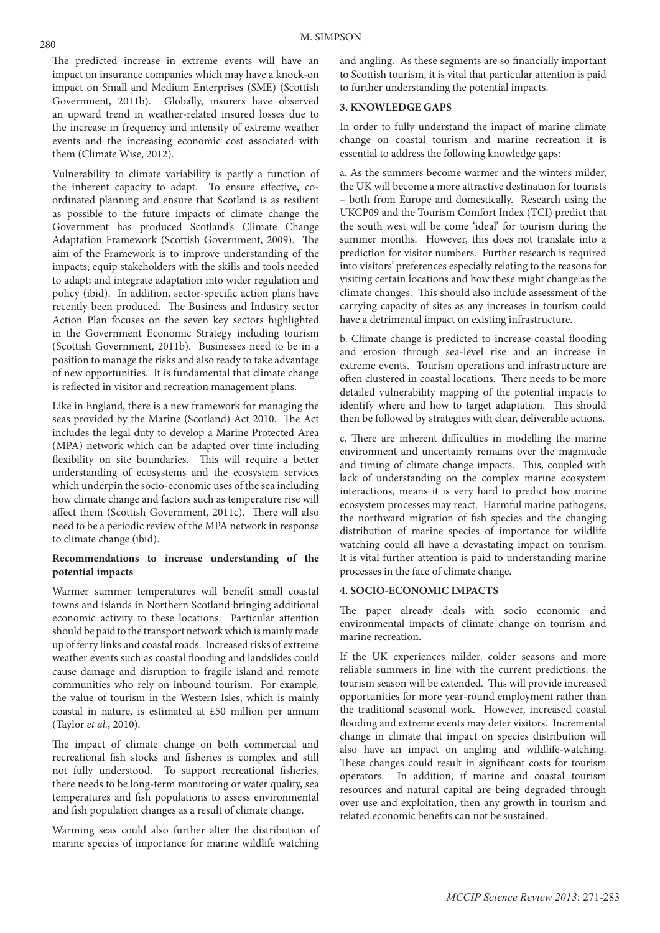The predicted increase in extreme events will have an impact on insurance companies which may have a knock-on impact on Small and Medium Enterprises (SME) (Scottish Government, 2011b). Globally, insurers have observed an upward trend in weather-related insured losses due to the increase in frequency and intensity of extreme weather events and the increasing economic cost associated with them (Climate Wise, 2012).

Vulnerability to climate variability is partly a function of the inherent capacity to adapt. To ensure effective, coordinated planning and ensure that Scotland is as resilient as possible to the future impacts of climate change the Government has produced Scotland's Climate Change Adaptation Framework (Scottish Government, 2009). The aim of the Framework is to improve understanding of the impacts; equip stakeholders with the skills and tools needed to adapt; and integrate adaptation into wider regulation and policy (ibid). In addition, sector-specific action plans have recently been produced. The Business and Industry sector Action Plan focuses on the seven key sectors highlighted in the Government Economic Strategy including tourism (Scottish Government, 2011b). Businesses need to be in a position to manage the risks and also ready to take advantage of new opportunities. It is fundamental that climate change is reflected in visitor and recreation management plans.

Like in England, there is a new framework for managing the seas provided by the Marine (Scotland) Act 2010. The Act includes the legal duty to develop a Marine Protected Area (MPA) network which can be adapted over time including flexibility on site boundaries. This will require a better understanding of ecosystems and the ecosystem services which underpin the socio-economic uses of the sea including how climate change and factors such as temperature rise will affect them (Scottish Government, 2011c). There will also need to be a periodic review of the MPA network in response to climate change (ibid).

## **Recommendations to increase understanding of the potential impacts**

Warmer summer temperatures will benefit small coastal towns and islands in Northern Scotland bringing additional economic activity to these locations. Particular attention should be paid to the transport network which is mainly made up of ferry links and coastal roads. Increased risks of extreme weather events such as coastal flooding and landslides could cause damage and disruption to fragile island and remote communities who rely on inbound tourism. For example, the value of tourism in the Western Isles, which is mainly coastal in nature, is estimated at £50 million per annum (Taylor *et al.*, 2010).

The impact of climate change on both commercial and recreational fish stocks and fisheries is complex and still not fully understood. To support recreational fisheries, there needs to be long-term monitoring or water quality, sea temperatures and fish populations to assess environmental and fish population changes as a result of climate change.

Warming seas could also further alter the distribution of marine species of importance for marine wildlife watching and angling. As these segments are so financially important to Scottish tourism, it is vital that particular attention is paid to further understanding the potential impacts.

# **3. KNOWLEDGE GAPS**

In order to fully understand the impact of marine climate change on coastal tourism and marine recreation it is essential to address the following knowledge gaps:

a. As the summers become warmer and the winters milder, the UK will become a more attractive destination for tourists – both from Europe and domestically. Research using the UKCP09 and the Tourism Comfort Index (TCI) predict that the south west will be come 'ideal' for tourism during the summer months. However, this does not translate into a prediction for visitor numbers. Further research is required into visitors' preferences especially relating to the reasons for visiting certain locations and how these might change as the climate changes. This should also include assessment of the carrying capacity of sites as any increases in tourism could have a detrimental impact on existing infrastructure.

b. Climate change is predicted to increase coastal flooding and erosion through sea-level rise and an increase in extreme events. Tourism operations and infrastructure are often clustered in coastal locations. There needs to be more detailed vulnerability mapping of the potential impacts to identify where and how to target adaptation. This should then be followed by strategies with clear, deliverable actions.

c. There are inherent difficulties in modelling the marine environment and uncertainty remains over the magnitude and timing of climate change impacts. This, coupled with lack of understanding on the complex marine ecosystem interactions, means it is very hard to predict how marine ecosystem processes may react. Harmful marine pathogens, the northward migration of fish species and the changing distribution of marine species of importance for wildlife watching could all have a devastating impact on tourism. It is vital further attention is paid to understanding marine processes in the face of climate change.

# **4. SOCIO-ECONOMIC IMPACTS**

The paper already deals with socio economic and environmental impacts of climate change on tourism and marine recreation.

If the UK experiences milder, colder seasons and more reliable summers in line with the current predictions, the tourism season will be extended. This will provide increased opportunities for more year-round employment rather than the traditional seasonal work. However, increased coastal flooding and extreme events may deter visitors. Incremental change in climate that impact on species distribution will also have an impact on angling and wildlife-watching. These changes could result in significant costs for tourism operators. In addition, if marine and coastal tourism resources and natural capital are being degraded through over use and exploitation, then any growth in tourism and related economic benefits can not be sustained.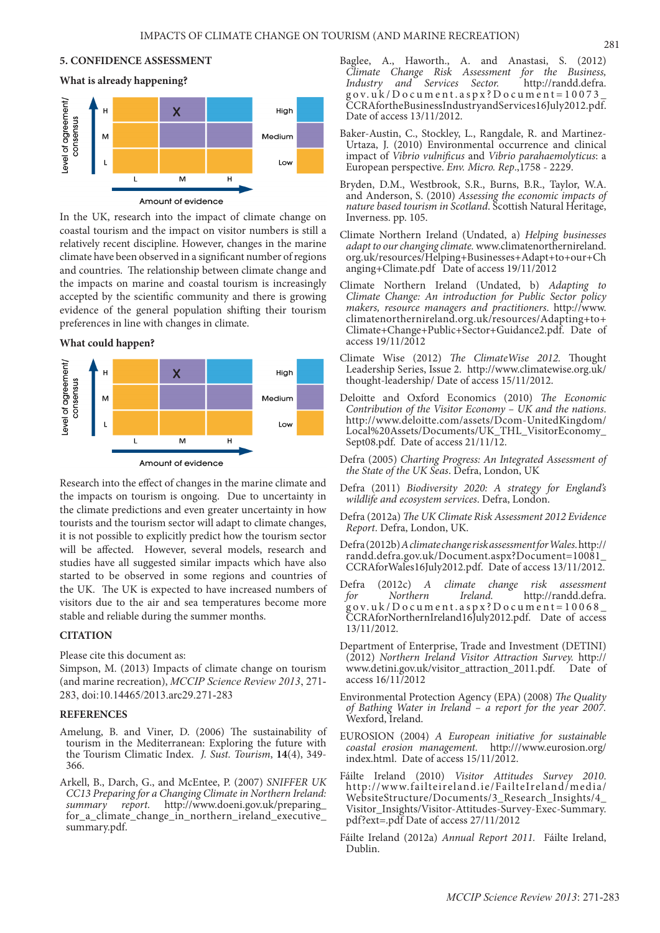# **5. CONFIDENCE ASSESSMENT**



Amount of evidence

In the UK, research into the impact of climate change on coastal tourism and the impact on visitor numbers is still a relatively recent discipline. However, changes in the marine climate have been observed in a significant number of regions and countries. The relationship between climate change and the impacts on marine and coastal tourism is increasingly accepted by the scientific community and there is growing evidence of the general population shifting their tourism preferences in line with changes in climate.

**What could happen?** 



Research into the effect of changes in the marine climate and the impacts on tourism is ongoing. Due to uncertainty in the climate predictions and even greater uncertainty in how tourists and the tourism sector will adapt to climate changes, it is not possible to explicitly predict how the tourism sector will be affected. However, several models, research and studies have all suggested similar impacts which have also started to be observed in some regions and countries of the UK. The UK is expected to have increased numbers of visitors due to the air and sea temperatures become more stable and reliable during the summer months.

## **CITATION**

Please cite this document as:

Simpson, M. (2013) Impacts of climate change on tourism (and marine recreation), *MCCIP Science Review 2013*, 271- 283, doi:10.14465/2013.arc29.271-283

#### **REFERENCES**

- Amelung, B. and Viner, D. (2006) The sustainability of tourism in the Mediterranean: Exploring the future with the Tourism Climatic Index. *J. Sust. Tourism*, **14**(4), 349- 366.
- Arkell, B., Darch, G., and McEntee, P. (2007) *SNIFFER UK CC13 Preparing for a Changing Climate in Northern Ireland: summary report.* http://www.doeni.gov.uk/preparing\_ for\_a\_climate\_change\_in\_northern\_ireland\_executive\_ summary.pdf.
- Baglee, A., Haworth., A. and Anastasi, S. (2012) *Climate Change Risk Assessment for the Business,*  and Services Sector. gov.uk/Document.aspx?Document=10073\_ CCRAfortheBusinessIndustryandServices16July2012.pdf. Date of access 13/11/2012.
- Baker-Austin, C., Stockley, L., Rangdale, R. and Martinez-Urtaza, J. (2010) Environmental occurrence and clinical impact of *Vibrio vulnificus* and *Vibrio parahaemolyticus*: a European perspective. *Env. Micro. Rep*.,1758 - 2229.
- Bryden, D.M., Westbrook, S.R., Burns, B.R., Taylor, W.A. and Anderson, S. (2010) *Assessing the economic impacts of nature based tourism in Scotland*. Scottish Natural Heritage, Inverness. pp. 105.
- Climate Northern Ireland (Undated, a) *Helping businesses adapt to our changing climate.* www.climatenorthernireland. org.uk/resources/Helping+Businesses+Adapt+to+our+Ch anging+Climate.pdf Date of access 19/11/2012
- Climate Northern Ireland (Undated, b) *Adapting to Climate Change: An introduction for Public Sector policy makers, resource managers and practitioners*. http://www. climatenorthernireland.org.uk/resources/Adapting+to+ Climate+Change+Public+Sector+Guidance2.pdf. Date of access 19/11/2012
- Climate Wise (2012) *The ClimateWise 2012.* Thought Leadership Series, Issue 2. http://www.climatewise.org.uk/ thought-leadership/ Date of access 15/11/2012.
- Deloitte and Oxford Economics (2010) *The Economic Contribution of the Visitor Economy – UK and the nations*. http://www.deloitte.com/assets/Dcom-UnitedKingdom/ Local%20Assets/Documents/UK\_THL\_VisitorEconomy\_ Sept08.pdf. Date of access 21/11/12.
- Defra (2005) *Charting Progress: An Integrated Assessment of the State of the UK Seas*. Defra, London, UK
- Defra (2011) *Biodiversity 2020: A strategy for England's wildlife and ecosystem services*. Defra, London.
- Defra (2012a) *The UK Climate Risk Assessment 2012 Evidence Report*. Defra, London, UK.
- Defra (2012b) *A climate change risk assessment for Wales.* http:// randd.defra.gov.uk/Document.aspx?Document=10081\_ CCRAforWales16July2012.pdf. Date of access 13/11/2012.
- Defra (2012c) *A climate change risk assessment for Northern Ireland.* http://randd.defra. gov.uk/Document.aspx?Document=10068\_ CCRAforNorthernIreland16July2012.pdf. Date of access 13/11/2012.
- Department of Enterprise, Trade and Investment (DETINI) (2012) *Northern Ireland Visitor Attraction Survey.* http:// www.detini.gov.uk/visitor\_attraction\_2011.pdf. Date of access 16/11/2012
- Environmental Protection Agency (EPA) (2008) *The Quality of Bathing Water in Ireland – a report for the year 2007.* Wexford, Ireland.
- EUROSION (2004) *A European initiative for sustainable coastal erosion management.* http:///www.eurosion.org/ index.html. Date of access 15/11/2012.
- Fáilte Ireland (2010) *Visitor Attitudes Survey 2010*. http://www.failteireland.ie/FailteIreland/media/ WebsiteStructure/Documents/3\_Research\_Insights/4\_ Visitor\_Insights/Visitor-Attitudes-Survey-Exec-Summary. pdf?ext=.pdf Date of access 27/11/2012
- Fáilte Ireland (2012a) *Annual Report 2011.* Fáilte Ireland, Dublin.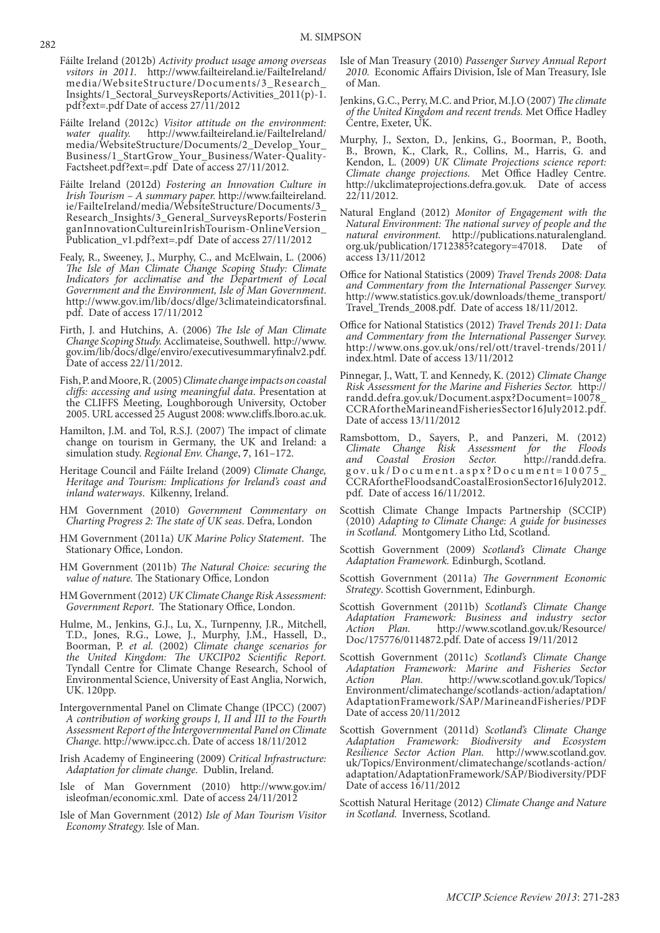- Fáilte Ireland (2012b) *Activity product usage among overseas vsitors in 2011.* http://www.failteireland.ie/FailteIreland/ media/WebsiteStructure/Documents/3\_Research\_ Insights/1\_Sectoral\_SurveysReports/Activities\_2011(p)-1. pdf?ext=.pdf Date of access 27/11/2012
- Fáilte Ireland (2012c) *Visitor attitude on the environment:*  http://www.failteireland.ie/FailteIreland/ media/WebsiteStructure/Documents/2\_Develop\_Your\_ Business/1\_StartGrow\_Your\_Business/Water-Quality-Factsheet.pdf?ext=.pdf Date of access 27/11/2012.
- Fáilte Ireland (2012d) *Fostering an Innovation Culture in Irish Tourism – A summary paper.* http://www.failteireland. ie/FailteIreland/media/WebsiteStructure/Documents/3\_ Research\_Insights/3\_General\_SurveysReports/Fosterin ganInnovationCultureinIrishTourism-OnlineVersion\_ Publication\_v1.pdf?ext=.pdf Date of access 27/11/2012
- Fealy, R., Sweeney, J., Murphy, C., and McElwain, L. (2006) *The Isle of Man Climate Change Scoping Study: Climate Indicators for acclimatise and the Department of Local Government and the Environment, Isle of Man Government*. http://www.gov.im/lib/docs/dlge/3climateindicatorsfinal. pdf. Date of access 17/11/2012
- Firth, J. and Hutchins, A. (2006) *The Isle of Man Climate Change Scoping Study.* Acclimateise, Southwell. http://www. gov.im/lib/docs/dlge/enviro/executivesummaryfinalv2.pdf. Date of access 22/11/2012.
- Fish, P. and Moore, R. (2005) *Climate change impacts on coastal cliffs: accessing and using meaningful data*. Presentation at the CLIFFS Meeting, Loughborough University, October 2005. URL accessed 25 August 2008: www.cliffs.lboro.ac.uk.
- Hamilton, J.M. and Tol, R.S.J. (2007) The impact of climate change on tourism in Germany, the UK and Ireland: a simulation study. *Regional Env. Change*, **7**, 161–172.
- Heritage Council and Fáilte Ireland (2009) *Climate Change, Heritage and Tourism: Implications for Ireland's coast and inland waterways*. Kilkenny, Ireland.
- HM Government (2010) *Government Commentary on Charting Progress 2: The state of UK seas*. Defra, London
- HM Government (2011a) *UK Marine Policy Statement*. The Stationary Office, London.
- HM Government (2011b) *The Natural Choice: securing the value of nature.* The Stationary Office, London
- HM Government (2012) *UK Climate Change Risk Assessment: Government Report*. The Stationary Office, London.
- Hulme, M., Jenkins, G.J., Lu, X., Turnpenny, J.R., Mitchell, T.D., Jones, R.G., Lowe, J., Murphy, J.M., Hassell, D., Boorman, P. *et al.* (2002) *Climate change scenarios for the United Kingdom: The UKCIP02 Scientific Report.* Tyndall Centre for Climate Change Research, School of Environmental Science, University of East Anglia, Norwich, UK. 120pp.
- Intergovernmental Panel on Climate Change (IPCC) (2007) *A contribution of working groups I, II and III to the Fourth Assessment Report of the Intergovernmental Panel on Climate Change*. http://www.ipcc.ch. Date of access 18/11/2012
- Irish Academy of Engineering (2009) *Critical Infrastructure: Adaptation for climate change.* Dublin, Ireland.
- Isle of Man Government (2010) http://www.gov.im/ isleofman/economic.xml. Date of access 24/11/2012
- Isle of Man Government (2012) *Isle of Man Tourism Visitor Economy Strategy.* Isle of Man.
- Isle of Man Treasury (2010) *Passenger Survey Annual Report 2010.* Economic Affairs Division, Isle of Man Treasury, Isle of Man.
- Jenkins, G.C., Perry, M.C. and Prior, M.J.O (2007) *The climate of the United Kingdom and recent trends.* Met Office Hadley Centre, Exeter, UK.
- Murphy, J., Sexton, D., Jenkins, G., Boorman, P., Booth, B., Brown, K., Clark, R., Collins, M., Harris, G. and Kendon, L. (2009) *UK Climate Projections science report: Climate change projections.* Met Office Hadley Centre. http://ukclimateprojections.defra.gov.uk. Date of access 22/11/2012.
- Natural England (2012) *Monitor of Engagement with the Natural Environment: The national survey of people and the natural environment.* http://publications.naturalengland. org.uk/publication/1712385?category=47018. Date of access 13/11/2012
- Office for National Statistics (2009) *Travel Trends 2008: Data and Commentary from the International Passenger Survey.* http://www.statistics.gov.uk/downloads/theme\_transport/ Travel\_Trends\_2008.pdf. Date of access 18/11/2012.
- Office for National Statistics (2012) *Travel Trends 2011: Data and Commentary from the International Passenger Survey.* http://www.ons.gov.uk/ons/rel/ott/travel-trends/2011/ index.html. Date of access 13/11/2012
- Pinnegar, J., Watt, T. and Kennedy, K. (2012) *Climate Change Risk Assessment for the Marine and Fisheries Sector.* http:// randd.defra.gov.uk/Document.aspx?Document=10078\_ CCRAfortheMarineandFisheriesSector16July2012.pdf. Date of access 13/11/2012
- Ramsbottom, D., Sayers, P., and Panzeri, M. (2012)<br>Climate Change Risk Assessment for the Floods *Climate Change Risk Assessment and Coastal Erosion Sector.* http://randd.defra. gov.uk/Document.aspx?Document=10075\_ CCRAfortheFloodsandCoastalErosionSector16July2012. pdf. Date of access 16/11/2012.
- Scottish Climate Change Impacts Partnership (SCCIP) (2010) *Adapting to Climate Change: A guide for businesses in Scotland.* Montgomery Litho Ltd, Scotland.
- Scottish Government (2009) *Scotland's Climate Change Adaptation Framework.* Edinburgh, Scotland.
- Scottish Government (2011a) *The Government Economic Strategy*. Scottish Government, Edinburgh.
- Scottish Government (2011b) *Scotland's Climate Change Adaptation Framework: Business and industry sector Action Plan.* http://www.scotland.gov.uk/Resource/ Doc/175776/0114872.pdf. Date of access 19/11/2012
- Scottish Government (2011c) *Scotland's Climate Change Adaptation Framework: Marine and Fisheries Sector Action Plan.* http://www.scotland.gov.uk/Topics/ Environment/climatechange/scotlands-action/adaptation/ AdaptationFramework/SAP/MarineandFisheries/PDF Date of access 20/11/2012
- Scottish Government (2011d) *Scotland's Climate Change Adaptation Framework: Biodiversity and Ecosystem Resilience Sector Action Plan.* http://www.scotland.gov. uk/Topics/Environment/climatechange/scotlands-action/ adaptation/AdaptationFramework/SAP/Biodiversity/PDF Date of access 16/11/2012
- Scottish Natural Heritage (2012) *Climate Change and Nature in Scotland.* Inverness, Scotland.